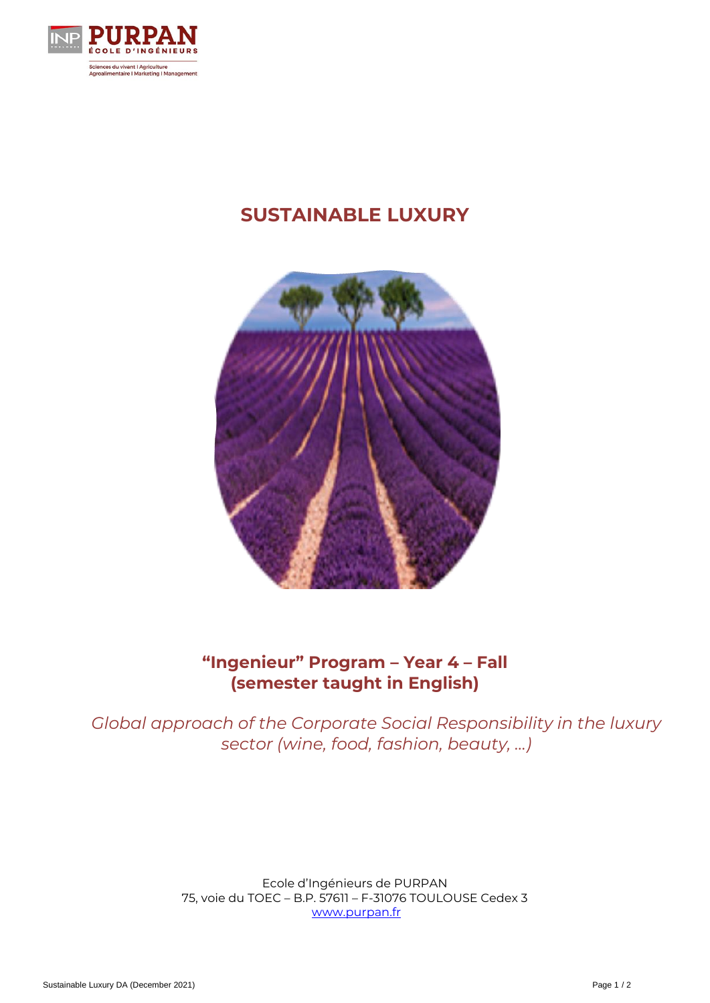

# **SUSTAINABLE LUXURY**



## **"Ingenieur" Program – Year 4 – Fall (semester taught in English)**

*Global approach of the Corporate Social Responsibility in the luxury sector (wine, food, fashion, beauty, …)*

> Ecole d'Ingénieurs de PURPAN 75, voie du TOEC – B.P. 57611 – F-31076 TOULOUSE Cedex 3 [www.purpan.fr](http://www.purpan.fr/)